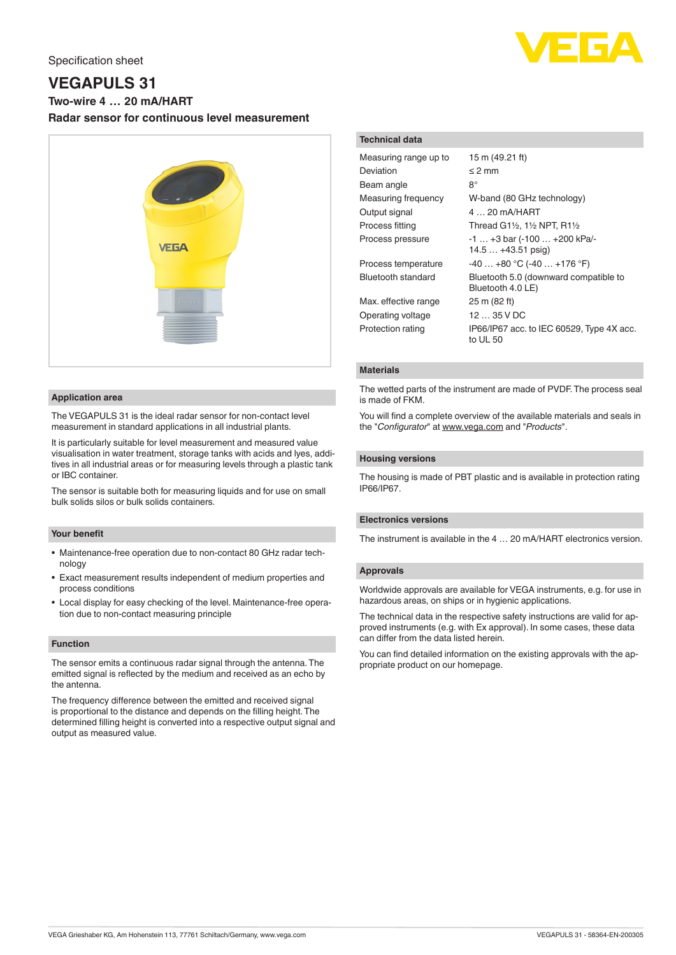

# **VEGAPULS 31**

**Two-wire 4 … 20 mA/HART**

**Radar sensor for continuous level measurement**



#### **Application area**

The VEGAPULS 31 is the ideal radar sensor for non-contact level measurement in standard applications in all industrial plants.

It is particularly suitable for level measurement and measured value visualisation in water treatment, storage tanks with acids and lyes, additives in all industrial areas or for measuring levels through a plastic tank or IBC container.

The sensor is suitable both for measuring liquids and for use on small bulk solids silos or bulk solids containers.

## **Your benefit**

- Maintenance-free operation due to non-contact 80 GHz radar technology
- Exact measurement results independent of medium properties and process conditions
- Local display for easy checking of the level. Maintenance-free operation due to non-contact measuring principle

### **Function**

The sensor emits a continuous radar signal through the antenna. The emitted signal is reflected by the medium and received as an echo by the antenna.

The frequency difference between the emitted and received signal is proportional to the distance and depends on the filling height. The determined filling height is converted into a respective output signal and output as measured value.

#### **Technical data**

| Measuring range up to | 15 m (49.21 ft)                                            |
|-----------------------|------------------------------------------------------------|
| Deviation             | $\leq$ 2 mm                                                |
| Beam angle            | 8°                                                         |
| Measuring frequency   | W-band (80 GHz technology)                                 |
| Output signal         | $420$ mA/HART                                              |
| Process fitting       | Thread G11/2, 11/2 NPT, R11/2                              |
| Process pressure      | $-1+3$ bar $(-100+200$ kPa/-<br>$14.5+43.51$ psig)         |
| Process temperature   | $-40+80$ °C (-40  +176 °F)                                 |
| Bluetooth standard    | Bluetooth 5.0 (downward compatible to<br>Bluetooth 4.0 LE) |
| Max. effective range  | 25 m (82 ft)                                               |
| Operating voltage     | 1235VDC                                                    |
| Protection rating     | IP66/IP67 acc. to IEC 60529, Type 4X acc.<br>to UL 50      |

## **Materials**

The wetted parts of the instrument are made of PVDF. The process seal is made of FKM.

You will find a complete overview of the available materials and seals in the "*Configurator*" at [www.vega.com](http://www.vega.com) and "*Products*".

#### **Housing versions**

The housing is made of PBT plastic and is available in protection rating IP66/IP67.

## **Electronics versions**

The instrument is available in the 4 … 20 mA/HART electronics version.

### **Approvals**

Worldwide approvals are available for VEGA instruments, e.g. for use in hazardous areas, on ships or in hygienic applications.

The technical data in the respective safety instructions are valid for approved instruments (e.g. with Ex approval). In some cases, these data can differ from the data listed herein.

You can find detailed information on the existing approvals with the appropriate product on our homepage.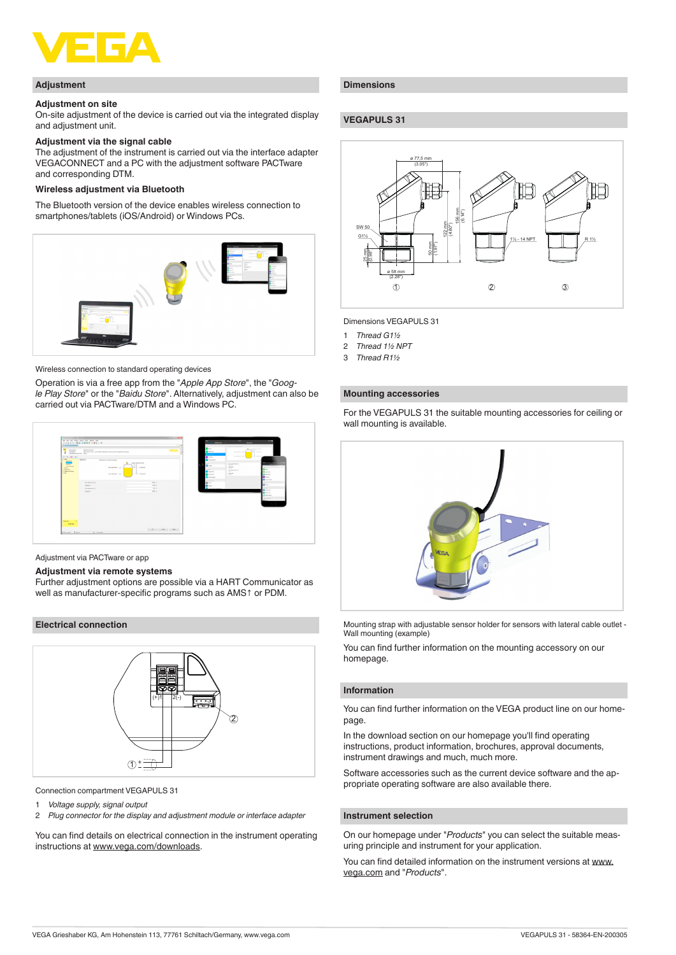

#### **Adjustment**

#### **Adjustment on site**

On-site adjustment of the device is carried out via the integrated display and adjustment unit.

## **Adjustment via the signal cable**

The adjustment of the instrument is carried out via the interface adapter VEGACONNECT and a PC with the adjustment software PACTware and corresponding DTM.

#### **Wireless adjustment via Bluetooth**

The Bluetooth version of the device enables wireless connection to smartphones/tablets (iOS/Android) or Windows PCs.



Wireless connection to standard operating devices

Operation is via a free app from the "*Apple App Store*", the "*Google Play Store*" or the "*Baidu Store*". Alternatively, adjustment can also be carried out via PACTware/DTM and a Windows PC.



Adjustment via PACTware or app

### **Adjustment via remote systems**

Further adjustment options are possible via a HART Communicator as well as manufacturer-specific programs such as AMS↑ or PDM.

### **Electrical connection**



Connection compartment VEGAPULS 31

- 
- 1 *Voltage supply, signal output* 2 *Plug connector for the display and adjustment module or interface adapter*

You can find details on electrical connection in the instrument operating instructions at [www.vega.com/downloads](http://www.vega.com/downloads).

## **Dimensions**

## **VEGAPULS 31**



Dimensions VEGAPULS 31

- 1 *Thread G1½*
- 2 *Thread 1½ NPT*
- 3 *Thread R1½*

#### **Mounting accessories**

For the VEGAPULS 31 the suitable mounting accessories for ceiling or wall mounting is available.



Mounting strap with adjustable sensor holder for sensors with lateral cable outlet - Wall mounting (example)

You can find further information on the mounting accessory on our homepage.

#### **Information**

You can find further information on the VEGA product line on our homepage.

In the download section on our homepage you'll find operating instructions, product information, brochures, approval documents, instrument drawings and much, much more.

Software accessories such as the current device software and the appropriate operating software are also available there.

## **Instrument selection**

On our homepage under "*Products*" you can select the suitable measuring principle and instrument for your application.

You can find detailed information on the instrument versions at [www.](http://www.vega.com) [vega.com](http://www.vega.com) and "*Products*".